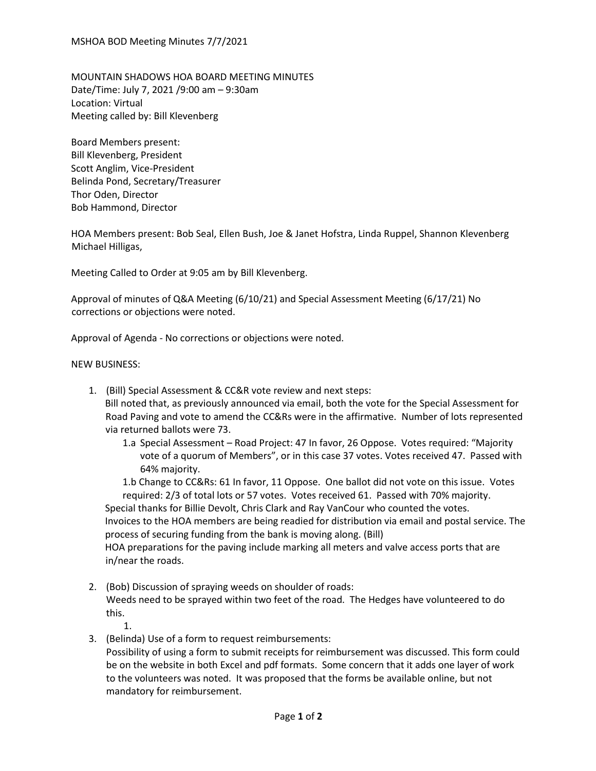MOUNTAIN SHADOWS HOA BOARD MEETING MINUTES Date/Time: July 7, 2021 /9:00 am – 9:30am Location: Virtual Meeting called by: Bill Klevenberg

Board Members present: Bill Klevenberg, President Scott Anglim, Vice-President Belinda Pond, Secretary/Treasurer Thor Oden, Director Bob Hammond, Director

HOA Members present: Bob Seal, Ellen Bush, Joe & Janet Hofstra, Linda Ruppel, Shannon Klevenberg Michael Hilligas,

Meeting Called to Order at 9:05 am by Bill Klevenberg.

Approval of minutes of Q&A Meeting (6/10/21) and Special Assessment Meeting (6/17/21) No corrections or objections were noted.

Approval of Agenda - No corrections or objections were noted.

## NEW BUSINESS:

- 1. (Bill) Special Assessment & CC&R vote review and next steps: Bill noted that, as previously announced via email, both the vote for the Special Assessment for Road Paving and vote to amend the CC&Rs were in the affirmative. Number of lots represented via returned ballots were 73.
	- 1.a Special Assessment Road Project: 47 In favor, 26 Oppose. Votes required: "Majority vote of a quorum of Members", or in this case 37 votes. Votes received 47. Passed with 64% majority.

1.b Change to CC&Rs: 61 In favor, 11 Oppose. One ballot did not vote on this issue. Votes required: 2/3 of total lots or 57 votes. Votes received 61. Passed with 70% majority.

Special thanks for Billie Devolt, Chris Clark and Ray VanCour who counted the votes.

Invoices to the HOA members are being readied for distribution via email and postal service. The process of securing funding from the bank is moving along. (Bill)

HOA preparations for the paving include marking all meters and valve access ports that are in/near the roads.

- 2. (Bob) Discussion of spraying weeds on shoulder of roads: Weeds need to be sprayed within two feet of the road. The Hedges have volunteered to do this.
	- 1.
- 3. (Belinda) Use of a form to request reimbursements:

Possibility of using a form to submit receipts for reimbursement was discussed. This form could be on the website in both Excel and pdf formats. Some concern that it adds one layer of work to the volunteers was noted. It was proposed that the forms be available online, but not mandatory for reimbursement.